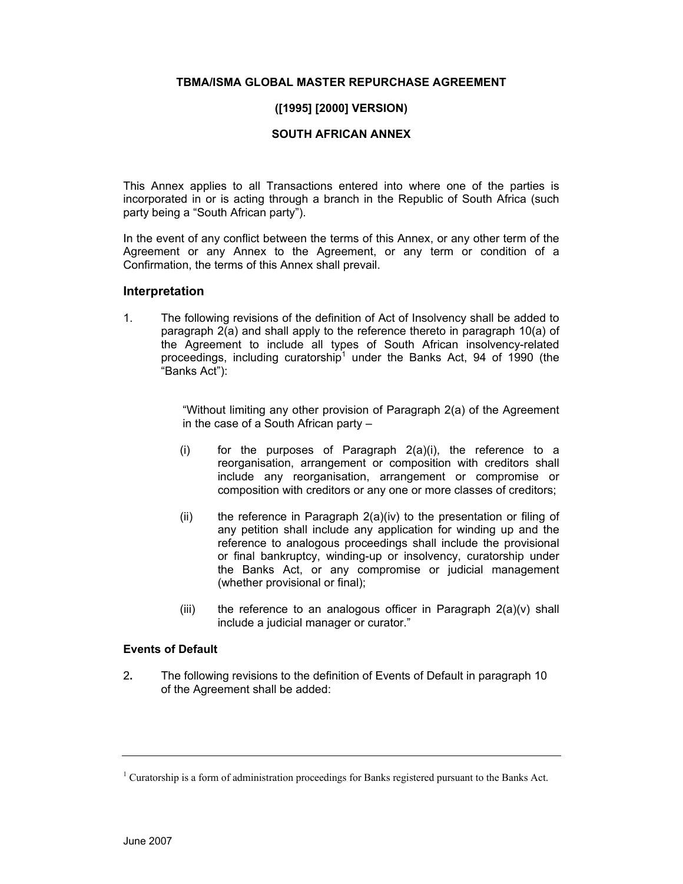# **TBMA/ISMA GLOBAL MASTER REPURCHASE AGREEMENT**

# **([1995] [2000] VERSION)**

### **SOUTH AFRICAN ANNEX**

This Annex applies to all Transactions entered into where one of the parties is incorporated in or is acting through a branch in the Republic of South Africa (such party being a "South African party").

In the event of any conflict between the terms of this Annex, or any other term of the Agreement or any Annex to the Agreement, or any term or condition of a Confirmation, the terms of this Annex shall prevail.

### **Interpretation**

1. The following revisions of the definition of Act of Insolvency shall be added to paragraph 2(a) and shall apply to the reference thereto in paragraph 10(a) of the Agreement to include all types of South African insolvency-related proceedings, including curatorship<sup>1</sup> under the Banks Act, 94 of 1990 (the "Banks Act"):

> "Without limiting any other provision of Paragraph 2(a) of the Agreement in the case of a South African party –

- (i) for the purposes of Paragraph 2(a)(i), the reference to a reorganisation, arrangement or composition with creditors shall include any reorganisation, arrangement or compromise or composition with creditors or any one or more classes of creditors;
- (ii) the reference in Paragraph 2(a)(iv) to the presentation or filing of any petition shall include any application for winding up and the reference to analogous proceedings shall include the provisional or final bankruptcy, winding-up or insolvency, curatorship under the Banks Act, or any compromise or judicial management (whether provisional or final);
- (iii) the reference to an analogous officer in Paragraph  $2(a)(v)$  shall include a judicial manager or curator."

#### **Events of Default**

2**.** The following revisions to the definition of Events of Default in paragraph 10 of the Agreement shall be added:

<sup>&</sup>lt;sup>1</sup> Curatorship is a form of administration proceedings for Banks registered pursuant to the Banks Act.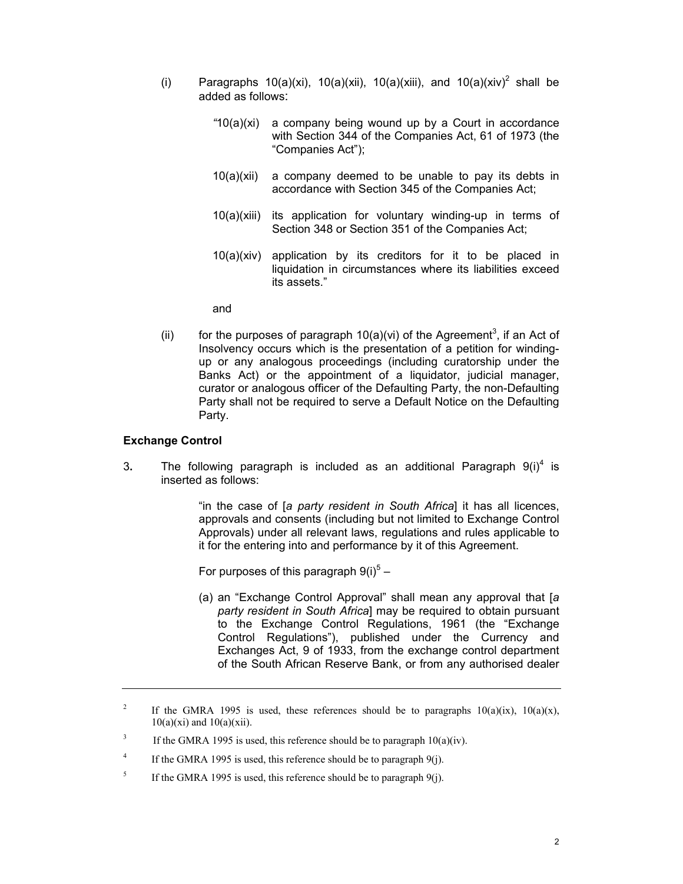- (i) Paragraphs  $10(a)(xi)$ ,  $10(a)(xii)$ ,  $10(a)(xiii)$ , and  $10(a)(xiv)^2$  shall be added as follows:
	- *"*10(a)(xi) a company being wound up by a Court in accordance with Section 344 of the Companies Act, 61 of 1973 (the "Companies Act");
	- 10(a)(xii) a company deemed to be unable to pay its debts in accordance with Section 345 of the Companies Act;
	- 10(a)(xiii) its application for voluntary winding-up in terms of Section 348 or Section 351 of the Companies Act;
	- 10(a)(xiv) application by its creditors for it to be placed in liquidation in circumstances where its liabilities exceed its assets."

and

(ii) for the purposes of paragraph  $10(a)(vi)$  of the Agreement<sup>3</sup>, if an Act of Insolvency occurs which is the presentation of a petition for windingup or any analogous proceedings (including curatorship under the Banks Act) or the appointment of a liquidator, judicial manager, curator or analogous officer of the Defaulting Party, the non-Defaulting Party shall not be required to serve a Default Notice on the Defaulting Party.

# **Exchange Control**

3. The following paragraph is included as an additional Paragraph  $9(i)^4$  is inserted as follows:

> "in the case of [*a party resident in South Africa*] it has all licences, approvals and consents (including but not limited to Exchange Control Approvals) under all relevant laws, regulations and rules applicable to it for the entering into and performance by it of this Agreement.

For purposes of this paragraph  $9(i)^5 -$ 

(a) an "Exchange Control Approval" shall mean any approval that [*a party resident in South Africa*] may be required to obtain pursuant to the Exchange Control Regulations, 1961 (the "Exchange Control Regulations"), published under the Currency and Exchanges Act, 9 of 1933, from the exchange control department of the South African Reserve Bank, or from any authorised dealer

<sup>2</sup> If the GMRA 1995 is used, these references should be to paragraphs  $10(a)(ix)$ ,  $10(a)(x)$ ,  $10(a)(xi)$  and  $10(a)(xii)$ .

<sup>3</sup> If the GMRA 1995 is used, this reference should be to paragraph  $10(a)(iv)$ .

<sup>4</sup> If the GMRA 1995 is used, this reference should be to paragraph 9(j).

<sup>5</sup> If the GMRA 1995 is used, this reference should be to paragraph 9(j).